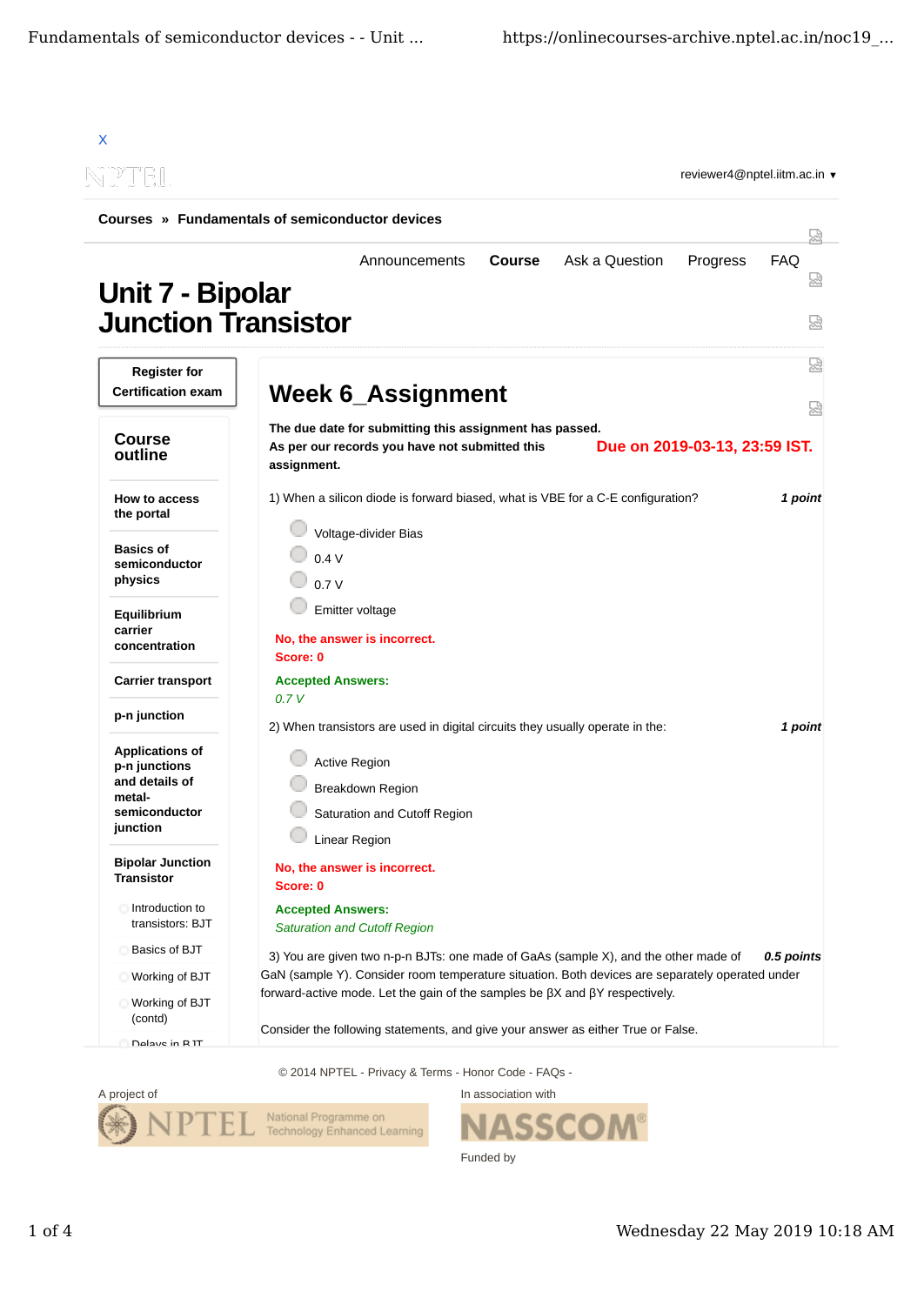| X                                                                                                |                                                                                                                                                                                                                                                                                     |                      |
|--------------------------------------------------------------------------------------------------|-------------------------------------------------------------------------------------------------------------------------------------------------------------------------------------------------------------------------------------------------------------------------------------|----------------------|
| <u>NPTIEIL</u>                                                                                   | reviewer4@nptel.iitm.ac.in ▼                                                                                                                                                                                                                                                        |                      |
|                                                                                                  | Courses » Fundamentals of semiconductor devices                                                                                                                                                                                                                                     |                      |
| Unit 7 - Bipolar<br><b>Junction Transistor</b>                                                   | Ask a Question<br>Progress<br><b>Course</b><br>Announcements                                                                                                                                                                                                                        | <b>FAQ</b><br>₩<br>썮 |
| <b>Register for</b><br><b>Certification exam</b>                                                 | <b>Week 6_Assignment</b>                                                                                                                                                                                                                                                            | 썮                    |
| <b>Course</b><br>outline                                                                         | The due date for submitting this assignment has passed.<br>Due on 2019-03-13, 23:59 IST.<br>As per our records you have not submitted this<br>assignment.                                                                                                                           | 圀                    |
| How to access<br>the portal                                                                      | 1) When a silicon diode is forward biased, what is VBE for a C-E configuration?                                                                                                                                                                                                     | 1 point              |
| <b>Basics of</b><br>semiconductor<br>physics                                                     | Voltage-divider Bias<br>0.4V<br>0.7V                                                                                                                                                                                                                                                |                      |
| Equilibrium<br>carrier<br>concentration                                                          | Emitter voltage<br>No, the answer is incorrect.<br>Score: 0                                                                                                                                                                                                                         |                      |
| <b>Carrier transport</b>                                                                         | <b>Accepted Answers:</b>                                                                                                                                                                                                                                                            |                      |
| p-n junction                                                                                     | 0.7V<br>2) When transistors are used in digital circuits they usually operate in the:                                                                                                                                                                                               | 1 point              |
| <b>Applications of</b><br>p-n junctions<br>and details of<br>metal-<br>semiconductor<br>junction | <b>Active Region</b><br><b>Breakdown Region</b><br>Saturation and Cutoff Region<br>Linear Region                                                                                                                                                                                    |                      |
| <b>Bipolar Junction</b><br><b>Transistor</b>                                                     | No, the answer is incorrect.<br>Score: 0                                                                                                                                                                                                                                            |                      |
| Introduction to<br>transistors: BJT                                                              | <b>Accepted Answers:</b><br><b>Saturation and Cutoff Region</b>                                                                                                                                                                                                                     |                      |
| Basics of BJT<br>Working of BJT                                                                  | 3) You are given two n-p-n BJTs: one made of GaAs (sample X), and the other made of<br>GaN (sample Y). Consider room temperature situation. Both devices are separately operated under<br>forward-active mode. Let the gain of the samples be $\beta$ X and $\beta$ Y respectively. | 0.5 points           |
| Working of BJT<br>(contd)<br>Dalave in RIT                                                       | Consider the following statements, and give your answer as either True or False.                                                                                                                                                                                                    |                      |

© 2014 NPTEL - Privacy & Terms - Honor Code - FAQs -



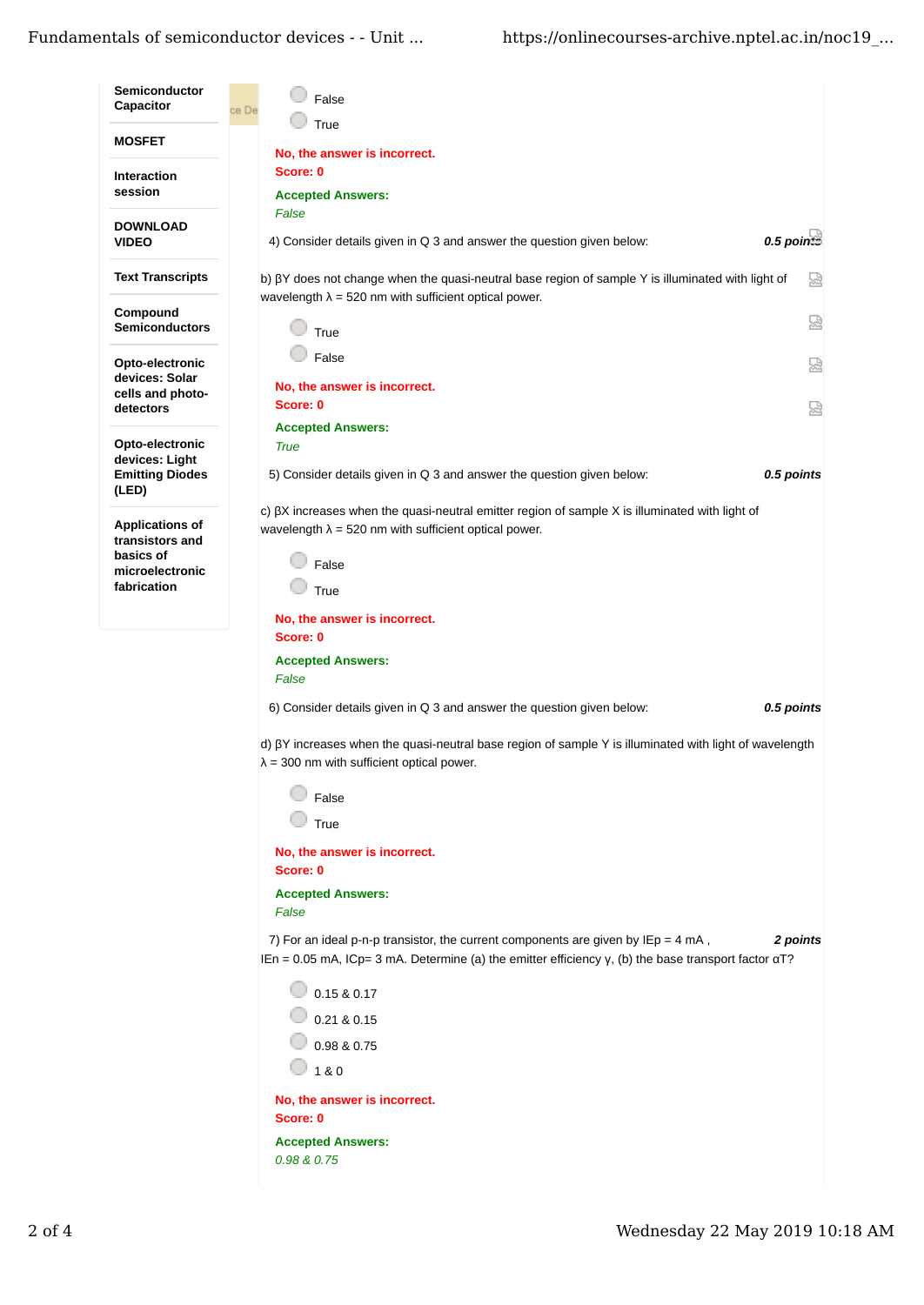## Fundamentals of semiconductor devices - - Unit ... https://onlinecourses-archive.nptel.ac.in/noc19\_...

| <b>Semiconductor</b><br>Capacitor         | False<br>ce De                                                                                                                                                                                                  |
|-------------------------------------------|-----------------------------------------------------------------------------------------------------------------------------------------------------------------------------------------------------------------|
|                                           | True                                                                                                                                                                                                            |
| <b>MOSFET</b>                             | No, the answer is incorrect.                                                                                                                                                                                    |
| <b>Interaction</b>                        | Score: 0                                                                                                                                                                                                        |
| session                                   | <b>Accepted Answers:</b>                                                                                                                                                                                        |
| <b>DOWNLOAD</b>                           | False                                                                                                                                                                                                           |
| <b>VIDEO</b>                              | $0.5$ points<br>4) Consider details given in Q 3 and answer the question given below:                                                                                                                           |
| <b>Text Transcripts</b>                   | 요<br>b) $\beta$ Y does not change when the quasi-neutral base region of sample Y is illuminated with light of<br>wavelength $\lambda$ = 520 nm with sufficient optical power.                                   |
| Compound<br><b>Semiconductors</b>         | 덣<br>True                                                                                                                                                                                                       |
| Opto-electronic                           | False<br>恳                                                                                                                                                                                                      |
| devices: Solar<br>cells and photo-        | No, the answer is incorrect.                                                                                                                                                                                    |
| detectors                                 | Score: 0<br>덣                                                                                                                                                                                                   |
|                                           | <b>Accepted Answers:</b>                                                                                                                                                                                        |
| Opto-electronic<br>devices: Light         | <b>True</b>                                                                                                                                                                                                     |
| <b>Emitting Diodes</b>                    | 5) Consider details given in Q 3 and answer the question given below:<br>0.5 points                                                                                                                             |
| (LED)                                     | c) $\beta$ X increases when the quasi-neutral emitter region of sample X is illuminated with light of                                                                                                           |
| <b>Applications of</b><br>transistors and | wavelength $\lambda$ = 520 nm with sufficient optical power.                                                                                                                                                    |
| basics of                                 | False                                                                                                                                                                                                           |
| microelectronic<br>fabrication            | True                                                                                                                                                                                                            |
|                                           |                                                                                                                                                                                                                 |
|                                           | No, the answer is incorrect.<br>Score: 0                                                                                                                                                                        |
|                                           | <b>Accepted Answers:</b>                                                                                                                                                                                        |
|                                           | False                                                                                                                                                                                                           |
|                                           | 6) Consider details given in Q 3 and answer the question given below:<br>0.5 points                                                                                                                             |
|                                           | d) $\beta$ Y increases when the quasi-neutral base region of sample Y is illuminated with light of wavelength<br>$\lambda$ = 300 nm with sufficient optical power.                                              |
|                                           | False                                                                                                                                                                                                           |
|                                           | True                                                                                                                                                                                                            |
|                                           |                                                                                                                                                                                                                 |
|                                           | No, the answer is incorrect.<br>Score: 0                                                                                                                                                                        |
|                                           | <b>Accepted Answers:</b>                                                                                                                                                                                        |
|                                           | False                                                                                                                                                                                                           |
|                                           | 7) For an ideal p-n-p transistor, the current components are given by IEp = 4 mA,<br>2 points<br>IEn = 0.05 mA, ICp= 3 mA. Determine (a) the emitter efficiency $y$ , (b) the base transport factor $\alpha$ T? |
|                                           | 0.15 & 0.17                                                                                                                                                                                                     |
|                                           | 0.21 & 0.15                                                                                                                                                                                                     |
|                                           | 0.98 & 0.75                                                                                                                                                                                                     |
|                                           | 1 & 0                                                                                                                                                                                                           |
|                                           | No, the answer is incorrect.                                                                                                                                                                                    |
|                                           | Score: 0                                                                                                                                                                                                        |
|                                           | <b>Accepted Answers:</b>                                                                                                                                                                                        |
|                                           | 0.98 & 0.75                                                                                                                                                                                                     |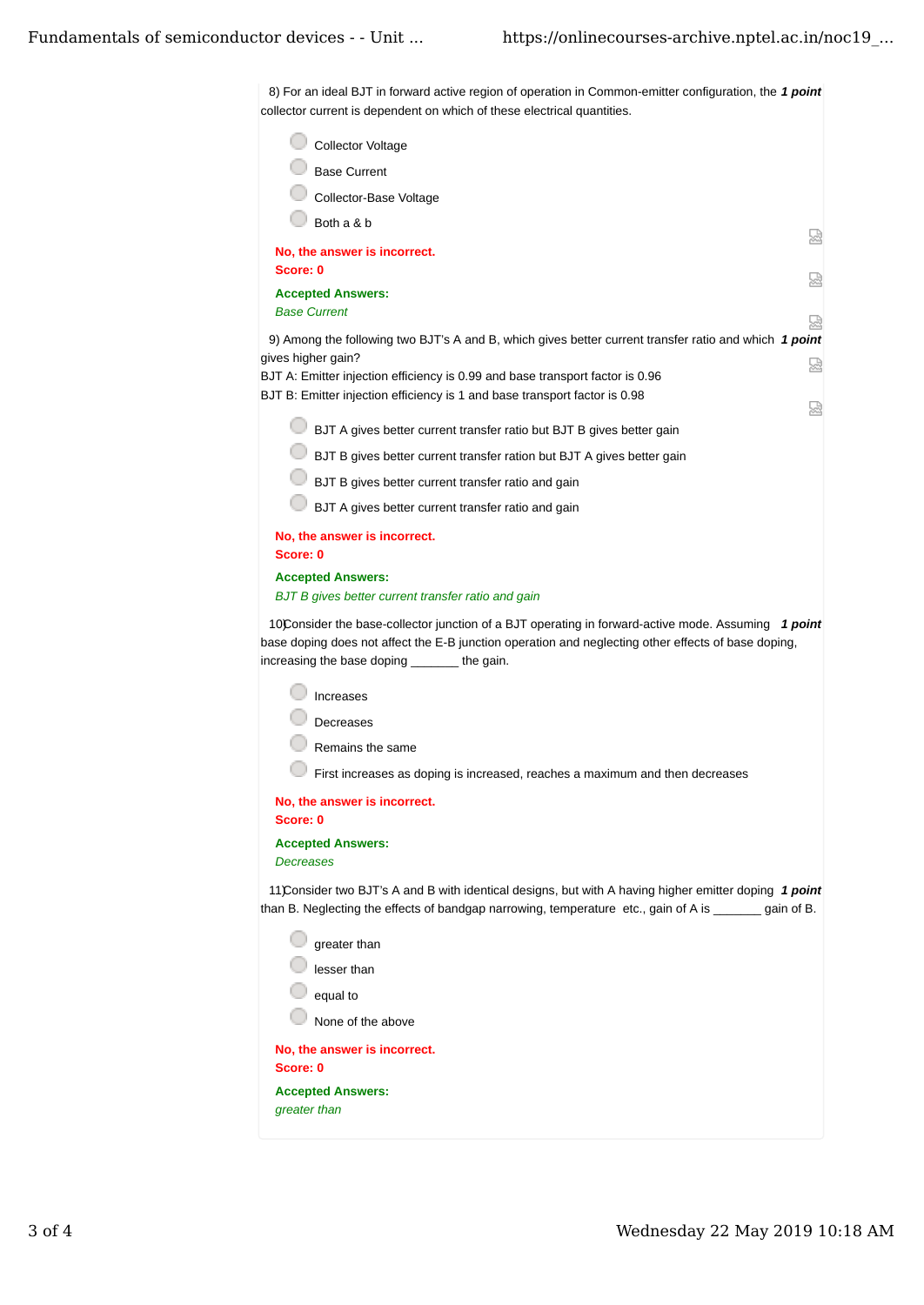8) For an ideal BJT in forward active region of operation in Common-emitter configuration, the 1 *point* collector current is dependent on which of these electrical quantities.

| <b>Collector Voltage</b><br><b>Base Current</b><br>Collector-Base Voltage<br>Both a & b<br>썮<br>No, the answer is incorrect.<br>Score: 0<br><b>Accepted Answers:</b><br><b>Base Current</b><br>9) Among the following two BJT's A and B, which gives better current transfer ratio and which 1 point<br>gives higher gain?<br>썮<br>BJT A: Emitter injection efficiency is 0.99 and base transport factor is 0.96<br>BJT B: Emitter injection efficiency is 1 and base transport factor is 0.98<br>ŵ<br>BJT A gives better current transfer ratio but BJT B gives better gain<br>BJT B gives better current transfer ration but BJT A gives better gain<br>BJT B gives better current transfer ratio and gain<br>BJT A gives better current transfer ratio and gain<br>No, the answer is incorrect.<br>Score: 0<br><b>Accepted Answers:</b><br>BJT B gives better current transfer ratio and gain<br>10Consider the base-collector junction of a BJT operating in forward-active mode. Assuming 1 point<br>base doping does not affect the E-B junction operation and neglecting other effects of base doping,<br>increasing the base doping the gain.<br><b>Increases</b><br>Decreases<br>Remains the same<br>First increases as doping is increased, reaches a maximum and then decreases<br>No, the answer is incorrect.<br>Score: 0<br><b>Accepted Answers:</b><br>Decreases<br>11 Consider two BJT's A and B with identical designs, but with A having higher emitter doping 1 point<br>than B. Neglecting the effects of bandgap narrowing, temperature etc., gain of A is _______ gain of B.<br>greater than<br>lesser than<br>equal to<br>None of the above<br>No, the answer is incorrect.<br>Score: 0<br><b>Accepted Answers:</b><br>greater than |  |
|------------------------------------------------------------------------------------------------------------------------------------------------------------------------------------------------------------------------------------------------------------------------------------------------------------------------------------------------------------------------------------------------------------------------------------------------------------------------------------------------------------------------------------------------------------------------------------------------------------------------------------------------------------------------------------------------------------------------------------------------------------------------------------------------------------------------------------------------------------------------------------------------------------------------------------------------------------------------------------------------------------------------------------------------------------------------------------------------------------------------------------------------------------------------------------------------------------------------------------------------------------------------------------------------------------------------------------------------------------------------------------------------------------------------------------------------------------------------------------------------------------------------------------------------------------------------------------------------------------------------------------------------------------------------------------------------------------------------------------------------------------|--|
|                                                                                                                                                                                                                                                                                                                                                                                                                                                                                                                                                                                                                                                                                                                                                                                                                                                                                                                                                                                                                                                                                                                                                                                                                                                                                                                                                                                                                                                                                                                                                                                                                                                                                                                                                            |  |
|                                                                                                                                                                                                                                                                                                                                                                                                                                                                                                                                                                                                                                                                                                                                                                                                                                                                                                                                                                                                                                                                                                                                                                                                                                                                                                                                                                                                                                                                                                                                                                                                                                                                                                                                                            |  |
|                                                                                                                                                                                                                                                                                                                                                                                                                                                                                                                                                                                                                                                                                                                                                                                                                                                                                                                                                                                                                                                                                                                                                                                                                                                                                                                                                                                                                                                                                                                                                                                                                                                                                                                                                            |  |
|                                                                                                                                                                                                                                                                                                                                                                                                                                                                                                                                                                                                                                                                                                                                                                                                                                                                                                                                                                                                                                                                                                                                                                                                                                                                                                                                                                                                                                                                                                                                                                                                                                                                                                                                                            |  |
|                                                                                                                                                                                                                                                                                                                                                                                                                                                                                                                                                                                                                                                                                                                                                                                                                                                                                                                                                                                                                                                                                                                                                                                                                                                                                                                                                                                                                                                                                                                                                                                                                                                                                                                                                            |  |
|                                                                                                                                                                                                                                                                                                                                                                                                                                                                                                                                                                                                                                                                                                                                                                                                                                                                                                                                                                                                                                                                                                                                                                                                                                                                                                                                                                                                                                                                                                                                                                                                                                                                                                                                                            |  |
|                                                                                                                                                                                                                                                                                                                                                                                                                                                                                                                                                                                                                                                                                                                                                                                                                                                                                                                                                                                                                                                                                                                                                                                                                                                                                                                                                                                                                                                                                                                                                                                                                                                                                                                                                            |  |
|                                                                                                                                                                                                                                                                                                                                                                                                                                                                                                                                                                                                                                                                                                                                                                                                                                                                                                                                                                                                                                                                                                                                                                                                                                                                                                                                                                                                                                                                                                                                                                                                                                                                                                                                                            |  |
|                                                                                                                                                                                                                                                                                                                                                                                                                                                                                                                                                                                                                                                                                                                                                                                                                                                                                                                                                                                                                                                                                                                                                                                                                                                                                                                                                                                                                                                                                                                                                                                                                                                                                                                                                            |  |
|                                                                                                                                                                                                                                                                                                                                                                                                                                                                                                                                                                                                                                                                                                                                                                                                                                                                                                                                                                                                                                                                                                                                                                                                                                                                                                                                                                                                                                                                                                                                                                                                                                                                                                                                                            |  |
|                                                                                                                                                                                                                                                                                                                                                                                                                                                                                                                                                                                                                                                                                                                                                                                                                                                                                                                                                                                                                                                                                                                                                                                                                                                                                                                                                                                                                                                                                                                                                                                                                                                                                                                                                            |  |
|                                                                                                                                                                                                                                                                                                                                                                                                                                                                                                                                                                                                                                                                                                                                                                                                                                                                                                                                                                                                                                                                                                                                                                                                                                                                                                                                                                                                                                                                                                                                                                                                                                                                                                                                                            |  |
|                                                                                                                                                                                                                                                                                                                                                                                                                                                                                                                                                                                                                                                                                                                                                                                                                                                                                                                                                                                                                                                                                                                                                                                                                                                                                                                                                                                                                                                                                                                                                                                                                                                                                                                                                            |  |
|                                                                                                                                                                                                                                                                                                                                                                                                                                                                                                                                                                                                                                                                                                                                                                                                                                                                                                                                                                                                                                                                                                                                                                                                                                                                                                                                                                                                                                                                                                                                                                                                                                                                                                                                                            |  |
|                                                                                                                                                                                                                                                                                                                                                                                                                                                                                                                                                                                                                                                                                                                                                                                                                                                                                                                                                                                                                                                                                                                                                                                                                                                                                                                                                                                                                                                                                                                                                                                                                                                                                                                                                            |  |
|                                                                                                                                                                                                                                                                                                                                                                                                                                                                                                                                                                                                                                                                                                                                                                                                                                                                                                                                                                                                                                                                                                                                                                                                                                                                                                                                                                                                                                                                                                                                                                                                                                                                                                                                                            |  |
|                                                                                                                                                                                                                                                                                                                                                                                                                                                                                                                                                                                                                                                                                                                                                                                                                                                                                                                                                                                                                                                                                                                                                                                                                                                                                                                                                                                                                                                                                                                                                                                                                                                                                                                                                            |  |
|                                                                                                                                                                                                                                                                                                                                                                                                                                                                                                                                                                                                                                                                                                                                                                                                                                                                                                                                                                                                                                                                                                                                                                                                                                                                                                                                                                                                                                                                                                                                                                                                                                                                                                                                                            |  |
|                                                                                                                                                                                                                                                                                                                                                                                                                                                                                                                                                                                                                                                                                                                                                                                                                                                                                                                                                                                                                                                                                                                                                                                                                                                                                                                                                                                                                                                                                                                                                                                                                                                                                                                                                            |  |
|                                                                                                                                                                                                                                                                                                                                                                                                                                                                                                                                                                                                                                                                                                                                                                                                                                                                                                                                                                                                                                                                                                                                                                                                                                                                                                                                                                                                                                                                                                                                                                                                                                                                                                                                                            |  |
|                                                                                                                                                                                                                                                                                                                                                                                                                                                                                                                                                                                                                                                                                                                                                                                                                                                                                                                                                                                                                                                                                                                                                                                                                                                                                                                                                                                                                                                                                                                                                                                                                                                                                                                                                            |  |
|                                                                                                                                                                                                                                                                                                                                                                                                                                                                                                                                                                                                                                                                                                                                                                                                                                                                                                                                                                                                                                                                                                                                                                                                                                                                                                                                                                                                                                                                                                                                                                                                                                                                                                                                                            |  |
|                                                                                                                                                                                                                                                                                                                                                                                                                                                                                                                                                                                                                                                                                                                                                                                                                                                                                                                                                                                                                                                                                                                                                                                                                                                                                                                                                                                                                                                                                                                                                                                                                                                                                                                                                            |  |
|                                                                                                                                                                                                                                                                                                                                                                                                                                                                                                                                                                                                                                                                                                                                                                                                                                                                                                                                                                                                                                                                                                                                                                                                                                                                                                                                                                                                                                                                                                                                                                                                                                                                                                                                                            |  |
|                                                                                                                                                                                                                                                                                                                                                                                                                                                                                                                                                                                                                                                                                                                                                                                                                                                                                                                                                                                                                                                                                                                                                                                                                                                                                                                                                                                                                                                                                                                                                                                                                                                                                                                                                            |  |
|                                                                                                                                                                                                                                                                                                                                                                                                                                                                                                                                                                                                                                                                                                                                                                                                                                                                                                                                                                                                                                                                                                                                                                                                                                                                                                                                                                                                                                                                                                                                                                                                                                                                                                                                                            |  |
|                                                                                                                                                                                                                                                                                                                                                                                                                                                                                                                                                                                                                                                                                                                                                                                                                                                                                                                                                                                                                                                                                                                                                                                                                                                                                                                                                                                                                                                                                                                                                                                                                                                                                                                                                            |  |
|                                                                                                                                                                                                                                                                                                                                                                                                                                                                                                                                                                                                                                                                                                                                                                                                                                                                                                                                                                                                                                                                                                                                                                                                                                                                                                                                                                                                                                                                                                                                                                                                                                                                                                                                                            |  |
|                                                                                                                                                                                                                                                                                                                                                                                                                                                                                                                                                                                                                                                                                                                                                                                                                                                                                                                                                                                                                                                                                                                                                                                                                                                                                                                                                                                                                                                                                                                                                                                                                                                                                                                                                            |  |
|                                                                                                                                                                                                                                                                                                                                                                                                                                                                                                                                                                                                                                                                                                                                                                                                                                                                                                                                                                                                                                                                                                                                                                                                                                                                                                                                                                                                                                                                                                                                                                                                                                                                                                                                                            |  |
|                                                                                                                                                                                                                                                                                                                                                                                                                                                                                                                                                                                                                                                                                                                                                                                                                                                                                                                                                                                                                                                                                                                                                                                                                                                                                                                                                                                                                                                                                                                                                                                                                                                                                                                                                            |  |
|                                                                                                                                                                                                                                                                                                                                                                                                                                                                                                                                                                                                                                                                                                                                                                                                                                                                                                                                                                                                                                                                                                                                                                                                                                                                                                                                                                                                                                                                                                                                                                                                                                                                                                                                                            |  |
|                                                                                                                                                                                                                                                                                                                                                                                                                                                                                                                                                                                                                                                                                                                                                                                                                                                                                                                                                                                                                                                                                                                                                                                                                                                                                                                                                                                                                                                                                                                                                                                                                                                                                                                                                            |  |
|                                                                                                                                                                                                                                                                                                                                                                                                                                                                                                                                                                                                                                                                                                                                                                                                                                                                                                                                                                                                                                                                                                                                                                                                                                                                                                                                                                                                                                                                                                                                                                                                                                                                                                                                                            |  |